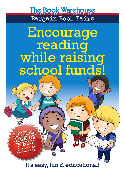The Book Warehouse AFFORDABLE BOOKS FOR EVERY CHILD Bargain Book Fairs

# Encourage reading<br>while raising school funds!

It's easy, fun & educational!

SPECIAL

SPECIAL

SIGN ON

SIGN ON

See inside<br>See intails See details

See inside<br>See inside See details

BONUS!

BONUS!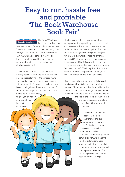### Easy to run, hassle free and profitable 'The Book Warehouse Book Fair'

The Book Warehouse Bargain Book Fairs

 The Book Warehouse has been providing book

 $\bigcirc$ 

 $\bigcirc$ 

fairs to schools in Queensland for over ten years. We do not advertise. Our business has grown through word of mouth – not telemarketers. Last year we helped schools run over one hundred book fairs and the overwhelming response from the parents, teachers and children was fantastic.

In fact FANTASTIC was a word we keep hearing. Feedback from the teachers and the parents kept referring to the fantastic range, the fantastic prices and the fantastic service. Of course we don't expect you to believe our biased rantings here. There are a number of librarians we can put you in contact with who would be more than happy

to give you an honest appraisal of their book fair experience.

The huge constantly changing range of books we supply are from publishing houses both local and overseas. We are able to source the best quality books at the cheapest prices. The book prices represent genuine savings and bargains not available elsewhere. Prices start from as low as \$3.00. The average price you can expect to pay is around \$5. Of course there are also more expensive titles, but as a rule there are very few titles over \$20. The low prices allow all the children to be able to purchase a book (not a pencil or rubber) at one of our book fairs.

 Your school will receive a range of fiction and non fiction titles suitable for primary school readers. We can also supply titles suitable for the parents to purchase – cooking, history, fiction etc. The number of books you receive will depend on

> the size of the school population and previous experience (if we have run a fair with your school before).

> > One important difference between The Book Warehouse and our competitors is that we don't discriminate when it comes to commission. Whether your school has 10 or 1000 children the generous commission remains the same. Another difference to your advantage is that we offer a flat commission rate, not a staggered rate dependant on sales. The percentage commission earned is detailed on the last page.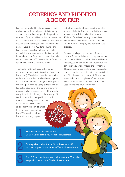#### ORDERING AND RUNNING A BOOK FAIR

Fairs can be booked by phone, fax, email and on-line. We will take all your details including school numbers, dates, range of titles previous sales etc. If you would like to visit the warehouse to have a look around and discuss options further that can also be arranged then. An information pack - ' Step-By-Step Guide to Planning and Running your Book Fair' will also be emailed or mailed to you in advance of the fair and will include important forms such as wish lists, daily record sheets, end of fair reconciliation forms, and tips on how to run a successful event.

The books will be delivered either by us personally or by a courier in cartons ( not rolling book cases). The delivery date for the stock is entirely up to you, but usually schools organise to have them delivered during the week prior to the fair. Apart from delivering extra copies of fast selling titles during the fair and answering questions relating to availability of titles we do not get involved in the day to day running of the fair. Pick up is also arranged for a time that suits you. We only need a couple of weeks notice to run a fair – so book anytime! Just be aware that the busy times such as Book Week and Christmas book fairs are very popular. THE WAREHOUSE SPECIAL<br>OFFER THE WAREHOUSE SPECIAL<br>OFFERAL

1

2

3

Extra books can be phoned, faxed or emailed in on a daily basis. Being based in Brisbane means we can usually deliver daily within a range of 100kms. Outside of this may take 48 hours. The one disclaimer we must make is that we will do our best to supply and deliver all titles ordered.

Paperwork is kept to a minimum. There is no checklist for stock delivered, no requirement to record each title sold or check books off before repacking at the end of the fair. If requested we can supply you with a mobile eftpos machine. This is an easy to use machine that makes sales a breeze. At the end of the fair all we ask is that you fill in the cash record & book fair summary sheet and attach all copies of eftpos receipts. The summary sheet is important as it is then used to calculate your commission.

Extra Incentive - for new schools. Contact us for details, you wont be disappointed.

OFFERS

OFFERS

Existing schools - book your fair and receive a \$50 voucher to spend at the fair or at The Book Warehouse.

Book 2 fairs in a calendar year and receive a \$150 voucher to spend at the fair or at The Book Warehouse.